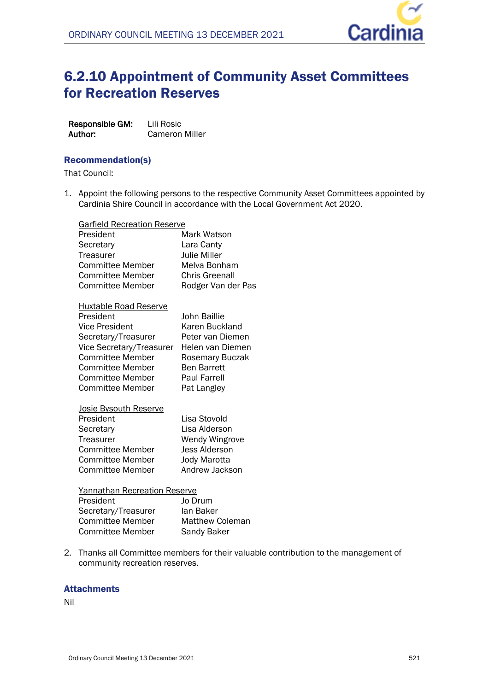

# 6.2.10 Appointment of Community Asset Committees for Recreation Reserves

| Responsible GM: | Lili Rosic     |
|-----------------|----------------|
| Author:         | Cameron Miller |

### Recommendation(s)

That Council:

1. Appoint the following persons to the respective Community Asset Committees appointed by Cardinia Shire Council in accordance with the Local Government Act 2020.

| <b>Garfield Recreation Reserve</b> |                       |
|------------------------------------|-----------------------|
| President                          | Mark Watson           |
| Secretary                          | Lara Canty            |
| Treasurer                          | <b>Julie Miller</b>   |
| <b>Committee Member</b>            | Melva Bonham          |
| Committee Member                   | Chris Greenall        |
| Committee Member                   | Rodger Van der Pas    |
| <b>Huxtable Road Reserve</b>       |                       |
| President                          | John Baillie          |
| Vice President                     | Karen Buckland        |
| Secretary/Treasurer                | Peter van Diemen      |
| Vice Secretary/Treasurer           | Helen van Diemen      |
| <b>Committee Member</b>            | Rosemary Buczak       |
| <b>Committee Member</b>            | <b>Ben Barrett</b>    |
| Committee Member                   | <b>Paul Farrell</b>   |
| Committee Member                   | Pat Langley           |
| <u>Josie Bysouth Reserve</u>       |                       |
| President                          | Lisa Stovold          |
| Secretary                          | Lisa Alderson         |
| Treasurer                          | <b>Wendy Wingrove</b> |
| Committee Member                   | <b>Jess Alderson</b>  |
| Committee Member                   | <b>Jody Marotta</b>   |
| Committee Member                   | Andrew Jackson        |
| Yannathan Recreation Reserve       |                       |

| President               | Jo Drum                |
|-------------------------|------------------------|
| Secretary/Treasurer     | lan Baker              |
| <b>Committee Member</b> | <b>Matthew Coleman</b> |
| Committee Member        | Sandy Baker            |

2. Thanks all Committee members for their valuable contribution to the management of community recreation reserves.

# **Attachments**

Nil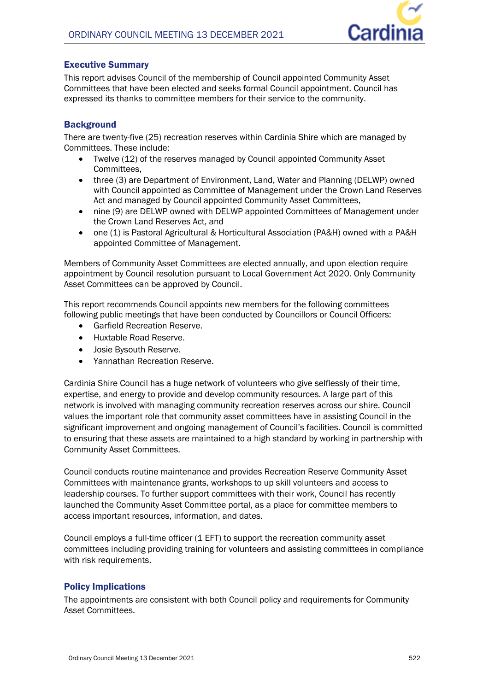

# Executive Summary

This report advises Council of the membership of Council appointed Community Asset Committees that have been elected and seeks formal Council appointment. Council has expressed its thanks to committee members for their service to the community.

# **Background**

There are twenty-five (25) recreation reserves within Cardinia Shire which are managed by Committees. These include:

- Twelve (12) of the reserves managed by Council appointed Community Asset Committees,
- three (3) are Department of Environment, Land, Water and Planning (DELWP) owned with Council appointed as Committee of Management under the Crown Land Reserves Act and managed by Council appointed Community Asset Committees,
- nine (9) are DELWP owned with DELWP appointed Committees of Management under the Crown Land Reserves Act, and
- one (1) is Pastoral Agricultural & Horticultural Association (PA&H) owned with a PA&H appointed Committee of Management.

Members of Community Asset Committees are elected annually, and upon election require appointment by Council resolution pursuant to Local Government Act 2020. Only Community Asset Committees can be approved by Council.

This report recommends Council appoints new members for the following committees following public meetings that have been conducted by Councillors or Council Officers:

- Garfield Recreation Reserve.
- Huxtable Road Reserve.
- Josie Bysouth Reserve.
- Yannathan Recreation Reserve.

Cardinia Shire Council has a huge network of volunteers who give selflessly of their time, expertise, and energy to provide and develop community resources. A large part of this network is involved with managing community recreation reserves across our shire. Council values the important role that community asset committees have in assisting Council in the significant improvement and ongoing management of Council's facilities. Council is committed to ensuring that these assets are maintained to a high standard by working in partnership with Community Asset Committees.

Council conducts routine maintenance and provides Recreation Reserve Community Asset Committees with maintenance grants, workshops to up skill volunteers and access to leadership courses. To further support committees with their work, Council has recently launched the Community Asset Committee portal, as a place for committee members to access important resources, information, and dates.

Council employs a full-time officer (1 EFT) to support the recreation community asset committees including providing training for volunteers and assisting committees in compliance with risk requirements.

# Policy Implications

The appointments are consistent with both Council policy and requirements for Community Asset Committees.